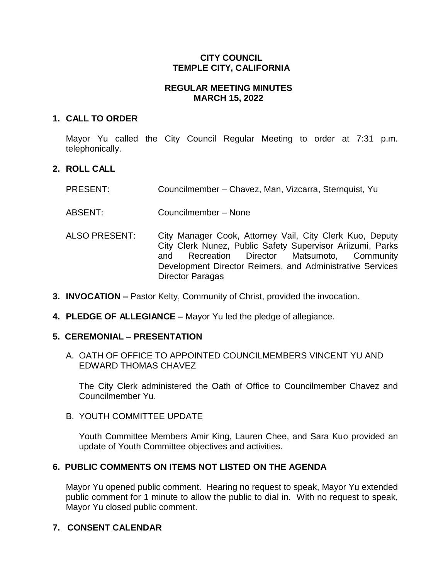## **CITY COUNCIL TEMPLE CITY, CALIFORNIA**

## **REGULAR MEETING MINUTES MARCH 15, 2022**

### **1. CALL TO ORDER**

Mayor Yu called the City Council Regular Meeting to order at 7:31 p.m. telephonically.

# **2. ROLL CALL**

| <b>PRESENT:</b> | Councilmember - Chavez, Man, Vizcarra, Sternquist, Yu |  |  |  |  |
|-----------------|-------------------------------------------------------|--|--|--|--|
|-----------------|-------------------------------------------------------|--|--|--|--|

ABSENT: Councilmember – None

- ALSO PRESENT: City Manager Cook, Attorney Vail, City Clerk Kuo, Deputy City Clerk Nunez, Public Safety Supervisor Ariizumi, Parks and Recreation Director Matsumoto, Community Development Director Reimers, and Administrative Services Director Paragas
- **3. INVOCATION –** Pastor Kelty, Community of Christ, provided the invocation.
- **4. PLEDGE OF ALLEGIANCE –** Mayor Yu led the pledge of allegiance.

# **5. CEREMONIAL – PRESENTATION**

A. OATH OF OFFICE TO APPOINTED COUNCILMEMBERS VINCENT YU AND EDWARD THOMAS CHAVEZ

The City Clerk administered the Oath of Office to Councilmember Chavez and Councilmember Yu.

B. YOUTH COMMITTEE UPDATE

Youth Committee Members Amir King, Lauren Chee, and Sara Kuo provided an update of Youth Committee objectives and activities.

# **6. PUBLIC COMMENTS ON ITEMS NOT LISTED ON THE AGENDA**

Mayor Yu opened public comment. Hearing no request to speak, Mayor Yu extended public comment for 1 minute to allow the public to dial in. With no request to speak, Mayor Yu closed public comment.

# **7. CONSENT CALENDAR**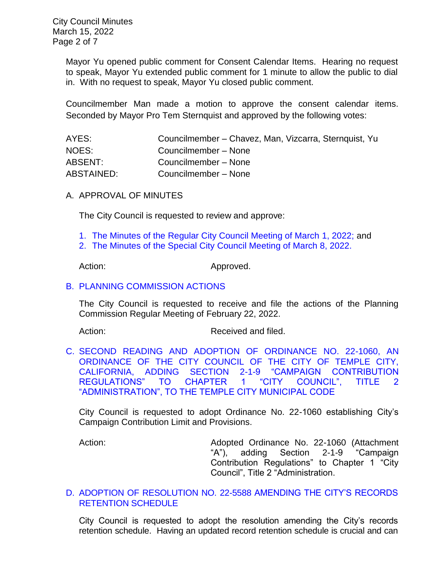City Council Minutes March 15, 2022 Page 2 of 7

> Mayor Yu opened public comment for Consent Calendar Items. Hearing no request to speak, Mayor Yu extended public comment for 1 minute to allow the public to dial in. With no request to speak, Mayor Yu closed public comment.

> Councilmember Man made a motion to approve the consent calendar items. Seconded by Mayor Pro Tem Sternquist and approved by the following votes:

| AYES:      | Councilmember - Chavez, Man, Vizcarra, Sternquist, Yu |
|------------|-------------------------------------------------------|
| NOES:      | Councilmember - None                                  |
| ABSENT:    | Councilmember - None                                  |
| ABSTAINED: | Councilmember - None                                  |

#### A. APPROVAL OF MINUTES

The City Council is requested to review and approve:

- 1. [The Minutes of the Regular City Council Meeting of March](https://www.ci.temple-city.ca.us/DocumentCenter/View/17586/7A-1_CCM---2022-03-01) 1, 2022; and
- 2. [The Minutes of the Special City Council Meeting of March 8, 2022.](https://www.ci.temple-city.ca.us/DocumentCenter/View/17587/7A-2_CCM---2022-03-08-Special)

Action: Approved.

#### B. [PLANNING COMMISSION ACTIONS](https://www.ci.temple-city.ca.us/DocumentCenter/View/17575/7B_PC-Actions_-2022-2-22)

The City Council is requested to receive and file the actions of the Planning Commission Regular Meeting of February 22, 2022.

Action: Received and filed.

C. [SECOND READING AND ADOPTION OF ORDINANCE NO. 22-1060, AN](https://www.ci.temple-city.ca.us/DocumentCenter/View/17576/7C_2nd-Reading-and-Adoption-of-Campaign-Contribution-Limit-Ordinance-22-1060-Staff-Report)  [ORDINANCE OF THE CITY COUNCIL OF THE CITY OF TEMPLE CITY,](https://www.ci.temple-city.ca.us/DocumentCenter/View/17576/7C_2nd-Reading-and-Adoption-of-Campaign-Contribution-Limit-Ordinance-22-1060-Staff-Report)  [CALIFORNIA, ADDING SECTION 2-1-9 "CAMPAIGN CONTRIBUTION](https://www.ci.temple-city.ca.us/DocumentCenter/View/17576/7C_2nd-Reading-and-Adoption-of-Campaign-Contribution-Limit-Ordinance-22-1060-Staff-Report)  [REGULATIONS" TO CHAPTER 1 "CITY COUNCIL", TITLE 2](https://www.ci.temple-city.ca.us/DocumentCenter/View/17576/7C_2nd-Reading-and-Adoption-of-Campaign-Contribution-Limit-Ordinance-22-1060-Staff-Report)  ["ADMINISTRATION", TO THE TEMPLE CITY MUNICIPAL CODE](https://www.ci.temple-city.ca.us/DocumentCenter/View/17576/7C_2nd-Reading-and-Adoption-of-Campaign-Contribution-Limit-Ordinance-22-1060-Staff-Report)

City Council is requested to adopt Ordinance No. 22-1060 establishing City's Campaign Contribution Limit and Provisions.

Action: Adopted Ordinance No. 22-1060 (Attachment "A"), adding Section 2-1-9 "Campaign Contribution Regulations" to Chapter 1 "City Council", Title 2 "Administration.

### D. ADOPTION OF RESOLUTION NO. 22-5588 [AMENDING THE CITY'S RECORDS](https://www.ci.temple-city.ca.us/DocumentCenter/View/17578/7D_Amended-City-Record-Retention-Schedule_-w-attachment-for-Public)  [RETENTION SCHEDULE](https://www.ci.temple-city.ca.us/DocumentCenter/View/17578/7D_Amended-City-Record-Retention-Schedule_-w-attachment-for-Public)

City Council is requested to adopt the resolution amending the City's records retention schedule. Having an updated record retention schedule is crucial and can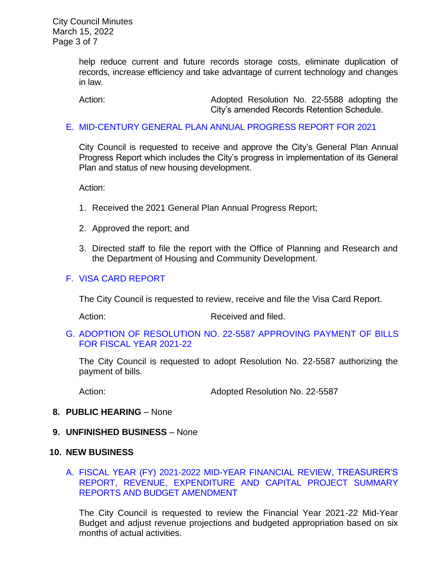City Council Minutes March 15, 2022 Page 3 of 7

> help reduce current and future records storage costs, eliminate duplication of records, increase efficiency and take advantage of current technology and changes in law.

Action: Adopted Resolution No. 22-5588 adopting the City's amended Records Retention Schedule.

#### E. [MID-CENTURY GENERAL PLAN ANNUAL PROGRESS REPORT FOR 2021](https://www.ci.temple-city.ca.us/DocumentCenter/View/17579/7E_General-Plan-Annual-Report_CC-staff-Report-APR-2021_w-attachment)

City Council is requested to receive and approve the City's General Plan Annual Progress Report which includes the City's progress in implementation of its General Plan and status of new housing development.

Action:

- 1. Received the 2021 General Plan Annual Progress Report;
- 2. Approved the report; and
- 3. Directed staff to file the report with the Office of Planning and Research and the Department of Housing and Community Development.

### F. [VISA CARD REPORT](https://www.ci.temple-city.ca.us/DocumentCenter/View/17582/7H_31522-Visa-Card-Staff-Report-with-Signature)

The City Council is requested to review, receive and file the Visa Card Report.

Action: Received and filed.

G. [ADOPTION OF RESOLUTION NO. 22-5587](https://www.ci.temple-city.ca.us/DocumentCenter/View/17583/7I_Reso-No-22-5587-31522---Warrants--Demands-FY-2021-2022) APPROVING PAYMENT OF BILLS [FOR FISCAL YEAR 2021-22](https://www.ci.temple-city.ca.us/DocumentCenter/View/17583/7I_Reso-No-22-5587-31522---Warrants--Demands-FY-2021-2022)

The City Council is requested to adopt Resolution No. 22-5587 authorizing the payment of bills.

Action: Adopted Resolution No. 22-5587

### **8. PUBLIC HEARING** – None

**9. UNFINISHED BUSINESS** – None

### **10. NEW BUSINESS**

[A. FISCAL YEAR \(FY\) 2021-2022 MID-YEAR FINANCIAL REVIEW, TREASURER'S](https://www.ci.temple-city.ca.us/DocumentCenter/View/17580/10A_Mid-Year-Financial-Status-Review_Staff-Report-FY2122_w-attachments)  [REPORT, REVENUE, EXPENDITURE AND CAPITAL](https://www.ci.temple-city.ca.us/DocumentCenter/View/17580/10A_Mid-Year-Financial-Status-Review_Staff-Report-FY2122_w-attachments) PROJECT SUMMARY [REPORTS AND BUDGET AMENDMENT](https://www.ci.temple-city.ca.us/DocumentCenter/View/17580/10A_Mid-Year-Financial-Status-Review_Staff-Report-FY2122_w-attachments)

The City Council is requested to review the Financial Year 2021-22 Mid-Year Budget and adjust revenue projections and budgeted appropriation based on six months of actual activities.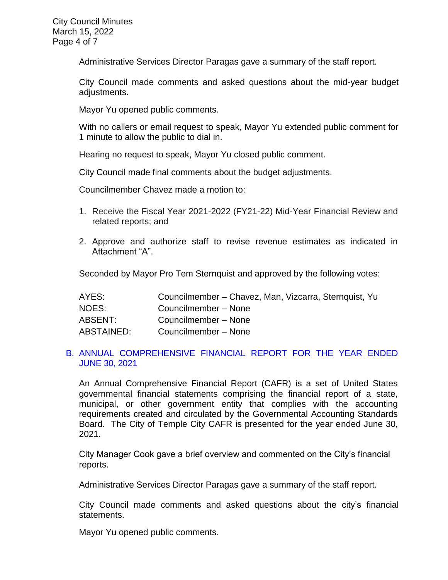Administrative Services Director Paragas gave a summary of the staff report.

City Council made comments and asked questions about the mid-year budget adjustments.

Mayor Yu opened public comments.

With no callers or email request to speak, Mayor Yu extended public comment for 1 minute to allow the public to dial in.

Hearing no request to speak, Mayor Yu closed public comment.

City Council made final comments about the budget adjustments.

Councilmember Chavez made a motion to:

- 1. Receive the Fiscal Year 2021-2022 (FY21-22) Mid-Year Financial Review and related reports; and
- 2. Approve and authorize staff to revise revenue estimates as indicated in Attachment "A".

Seconded by Mayor Pro Tem Sternquist and approved by the following votes:

| AYES:      | Councilmember - Chavez, Man, Vizcarra, Sternquist, Yu |
|------------|-------------------------------------------------------|
| NOES:      | Councilmember - None                                  |
| ABSENT:    | Councilmember - None                                  |
| ABSTAINED: | Councilmember - None                                  |

### B. [ANNUAL COMPREHENSIVE FINANCIAL REPORT FOR THE YEAR ENDED](https://www.ci.temple-city.ca.us/DocumentCenter/View/17581/7G_CAFR2021_Staff-Report_w-attachments)  [JUNE 30, 2021](https://www.ci.temple-city.ca.us/DocumentCenter/View/17581/7G_CAFR2021_Staff-Report_w-attachments)

An Annual Comprehensive Financial Report (CAFR) is a set of United States governmental financial statements comprising the financial report of a state, municipal, or other government entity that complies with the accounting requirements created and circulated by the Governmental Accounting Standards Board. The City of Temple City CAFR is presented for the year ended June 30, 2021.

City Manager Cook gave a brief overview and commented on the City's financial reports.

Administrative Services Director Paragas gave a summary of the staff report.

City Council made comments and asked questions about the city's financial statements.

Mayor Yu opened public comments.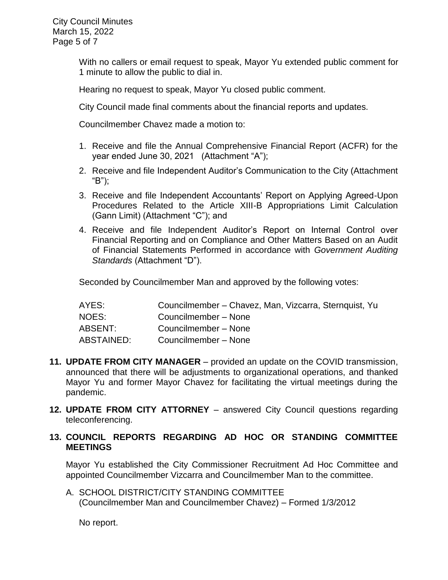With no callers or email request to speak, Mayor Yu extended public comment for 1 minute to allow the public to dial in.

Hearing no request to speak, Mayor Yu closed public comment.

City Council made final comments about the financial reports and updates.

Councilmember Chavez made a motion to:

- 1. Receive and file the Annual Comprehensive Financial Report (ACFR) for the year ended June 30, 2021 (Attachment "A");
- 2. Receive and file Independent Auditor's Communication to the City (Attachment "B");
- 3. Receive and file Independent Accountants' Report on Applying Agreed-Upon Procedures Related to the Article XIII-B Appropriations Limit Calculation (Gann Limit) (Attachment "C"); and
- 4. Receive and file Independent Auditor's Report on Internal Control over Financial Reporting and on Compliance and Other Matters Based on an Audit of Financial Statements Performed in accordance with *Government Auditing Standards* (Attachment "D").

Seconded by Councilmember Man and approved by the following votes:

| AYES:      | Councilmember - Chavez, Man, Vizcarra, Sternquist, Yu |
|------------|-------------------------------------------------------|
| NOES:      | Councilmember - None                                  |
| ABSENT:    | Councilmember - None                                  |
| ABSTAINED: | Councilmember - None                                  |

- **11. UPDATE FROM CITY MANAGER**  provided an update on the COVID transmission, announced that there will be adjustments to organizational operations, and thanked Mayor Yu and former Mayor Chavez for facilitating the virtual meetings during the pandemic.
- **12. UPDATE FROM CITY ATTORNEY**  answered City Council questions regarding teleconferencing.
- **13. COUNCIL REPORTS REGARDING AD HOC OR STANDING COMMITTEE MEETINGS**

Mayor Yu established the City Commissioner Recruitment Ad Hoc Committee and appointed Councilmember Vizcarra and Councilmember Man to the committee.

A. SCHOOL DISTRICT/CITY STANDING COMMITTEE (Councilmember Man and Councilmember Chavez) – Formed 1/3/2012

No report.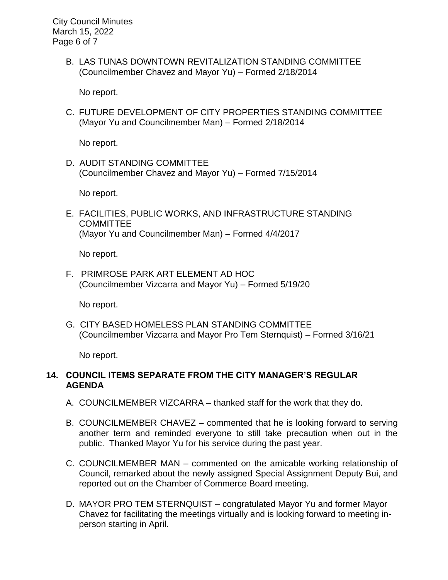City Council Minutes March 15, 2022 Page 6 of 7

> B. LAS TUNAS DOWNTOWN REVITALIZATION STANDING COMMITTEE (Councilmember Chavez and Mayor Yu) – Formed 2/18/2014

No report.

C. FUTURE DEVELOPMENT OF CITY PROPERTIES STANDING COMMITTEE (Mayor Yu and Councilmember Man) – Formed 2/18/2014

No report.

D. AUDIT STANDING COMMITTEE (Councilmember Chavez and Mayor Yu) – Formed 7/15/2014

No report.

E. FACILITIES, PUBLIC WORKS, AND INFRASTRUCTURE STANDING **COMMITTEE** (Mayor Yu and Councilmember Man) – Formed 4/4/2017

No report.

F. PRIMROSE PARK ART ELEMENT AD HOC (Councilmember Vizcarra and Mayor Yu) – Formed 5/19/20

No report.

G. CITY BASED HOMELESS PLAN STANDING COMMITTEE (Councilmember Vizcarra and Mayor Pro Tem Sternquist) – Formed 3/16/21

No report.

## **14. COUNCIL ITEMS SEPARATE FROM THE CITY MANAGER'S REGULAR AGENDA**

- A. COUNCILMEMBER VIZCARRA thanked staff for the work that they do.
- B. COUNCILMEMBER CHAVEZ commented that he is looking forward to serving another term and reminded everyone to still take precaution when out in the public. Thanked Mayor Yu for his service during the past year.
- C. COUNCILMEMBER MAN commented on the amicable working relationship of Council, remarked about the newly assigned Special Assignment Deputy Bui, and reported out on the Chamber of Commerce Board meeting.
- D. MAYOR PRO TEM STERNQUIST congratulated Mayor Yu and former Mayor Chavez for facilitating the meetings virtually and is looking forward to meeting inperson starting in April.